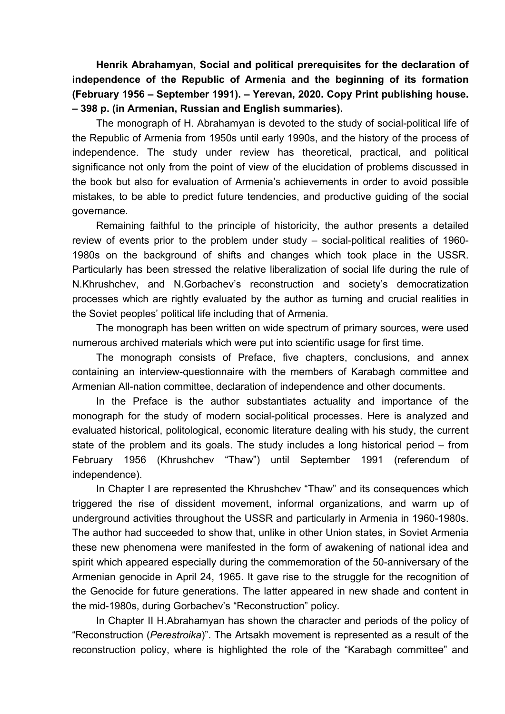**Henrik Abrahamyan, Social and political prerequisites for the declaration of independence of the Republic of Armenia and the beginning of its formation (February 1956 – September 1991). – Yerevan, 2020. Copy Print publishing house. – 398 p. (in Armenian, Russian and English summaries).** 

The monograph of H. Abrahamyan is devoted to the study of social-political life of the Republic of Armenia from 1950s until early 1990s, and the history of the process of independence. The study under review has theoretical, practical, and political significance not only from the point of view of the elucidation of problems discussed in the book but also for evaluation of Armenia's achievements in order to avoid possible mistakes, to be able to predict future tendencies, and productive guiding of the social governance.

Remaining faithful to the principle of historicity, the author presents a detailed review of events prior to the problem under study – social-political realities of 1960- 1980s on the background of shifts and changes which took place in the USSR. Particularly has been stressed the relative liberalization of social life during the rule of N.Khrushchev, and N.Gorbachev's reconstruction and society's democratization processes which are rightly evaluated by the author as turning and crucial realities in the Soviet peoples' political life including that of Armenia.

The monograph has been written on wide spectrum of primary sources, were used numerous archived materials which were put into scientific usage for first time.

The monograph consists of Preface, five chapters, conclusions, and annex containing an interview-questionnaire with the members of Karabagh committee and Armenian All-nation committee, declaration of independence and other documents.

In the Preface is the author substantiates actuality and importance of the monograph for the study of modern social-political processes. Here is analyzed and evaluated historical, politological, economic literature dealing with his study, the current state of the problem and its goals. The study includes a long historical period – from February 1956 (Khrushchev "Thaw") until September 1991 (referendum of independence).

In Chapter I are represented the Khrushchev "Thaw" and its consequences which triggered the rise of dissident movement, informal organizations, and warm up of underground activities throughout the USSR and particularly in Armenia in 1960-1980s. The author had succeeded to show that, unlike in other Union states, in Soviet Armenia these new phenomena were manifested in the form of awakening of national idea and spirit which appeared especially during the commemoration of the 50-anniversary of the Armenian genocide in April 24, 1965. It gave rise to the struggle for the recognition of the Genocide for future generations. The latter appeared in new shade and content in the mid-1980s, during Gorbachev's "Reconstruction" policy.

In Chapter II H.Abrahamyan has shown the character and periods of the policy of "Reconstruction (*Perestroika*)". The Artsakh movement is represented as a result of the reconstruction policy, where is highlighted the role of the "Karabagh committee" and